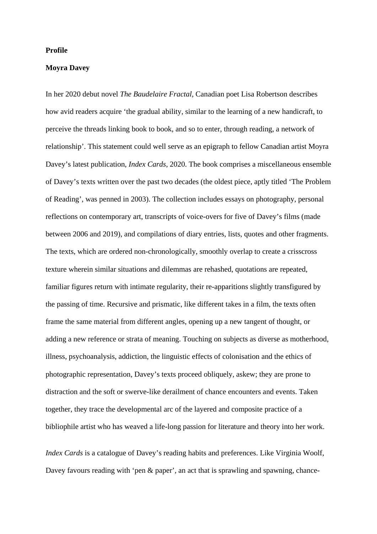## **Profile**

## **Moyra Davey**

In her 2020 debut novel *The Baudelaire Fractal*, Canadian poet Lisa Robertson describes how avid readers acquire 'the gradual ability, similar to the learning of a new handicraft, to perceive the threads linking book to book, and so to enter, through reading, a network of relationship'. This statement could well serve as an epigraph to fellow Canadian artist Moyra Davey's latest publication, *Index Cards*, 2020. The book comprises a miscellaneous ensemble of Davey's texts written over the past two decades (the oldest piece, aptly titled 'The Problem of Reading', was penned in 2003). The collection includes essays on photography, personal reflections on contemporary art, transcripts of voice-overs for five of Davey's films (made between 2006 and 2019), and compilations of diary entries, lists, quotes and other fragments. The texts, which are ordered non-chronologically, smoothly overlap to create a crisscross texture wherein similar situations and dilemmas are rehashed, quotations are repeated, familiar figures return with intimate regularity, their re-apparitions slightly transfigured by the passing of time. Recursive and prismatic, like different takes in a film, the texts often frame the same material from different angles, opening up a new tangent of thought, or adding a new reference or strata of meaning. Touching on subjects as diverse as motherhood, illness, psychoanalysis, addiction, the linguistic effects of colonisation and the ethics of photographic representation, Davey's texts proceed obliquely, askew; they are prone to distraction and the soft or swerve-like derailment of chance encounters and events. Taken together, they trace the developmental arc of the layered and composite practice of a bibliophile artist who has weaved a life-long passion for literature and theory into her work.

*Index Cards* is a catalogue of Davey's reading habits and preferences. Like Virginia Woolf, Davey favours reading with 'pen & paper', an act that is sprawling and spawning, chance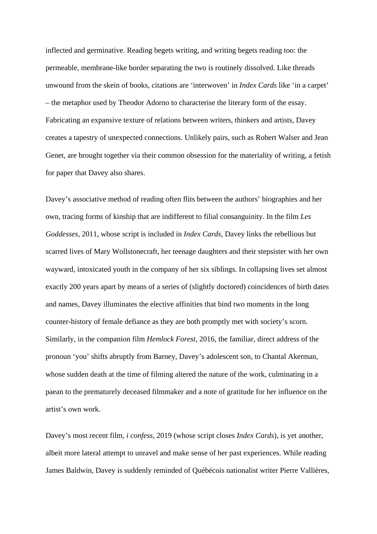inflected and germinative. Reading begets writing, and writing begets reading too: the permeable, membrane-like border separating the two is routinely dissolved. Like threads unwound from the skein of books, citations are 'interwoven' in *Index Cards* like 'in a carpet' – the metaphor used by Theodor Adorno to characterise the literary form of the essay. Fabricating an expansive texture of relations between writers, thinkers and artists, Davey creates a tapestry of unexpected connections. Unlikely pairs, such as Robert Walser and Jean Genet, are brought together via their common obsession for the materiality of writing, a fetish for paper that Davey also shares.

Davey's associative method of reading often flits between the authors' biographies and her own, tracing forms of kinship that are indifferent to filial consanguinity. In the film *Les Goddesses*, 2011, whose script is included in *Index Cards*, Davey links the rebellious but scarred lives of Mary Wollstonecraft, her teenage daughters and their stepsister with her own wayward, intoxicated youth in the company of her six siblings. In collapsing lives set almost exactly 200 years apart by means of a series of (slightly doctored) coincidences of birth dates and names, Davey illuminates the elective affinities that bind two moments in the long counter-history of female defiance as they are both promptly met with society's scorn. Similarly, in the companion film *Hemlock Forest*, 2016, the familiar, direct address of the pronoun 'you' shifts abruptly from Barney, Davey's adolescent son, to Chantal Akerman, whose sudden death at the time of filming altered the nature of the work, culminating in a paean to the prematurely deceased filmmaker and a note of gratitude for her influence on the artist's own work.

Davey's most recent film, *i confess*, 2019 (whose script closes *Index Cards*), is yet another, albeit more lateral attempt to unravel and make sense of her past experiences. While reading James Baldwin, Davey is suddenly reminded of Québécois nationalist writer Pierre Vallières,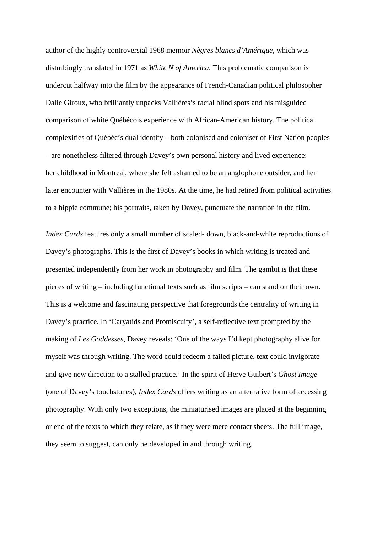author of the highly controversial 1968 memoir *Nègres blancs d'Amérique*, which was disturbingly translated in 1971 as *White N of America*. This problematic comparison is undercut halfway into the film by the appearance of French-Canadian political philosopher Dalie Giroux, who brilliantly unpacks Vallières's racial blind spots and his misguided comparison of white Québécois experience with African-American history. The political complexities of Québéc's dual identity – both colonised and coloniser of First Nation peoples – are nonetheless filtered through Davey's own personal history and lived experience: her childhood in Montreal, where she felt ashamed to be an anglophone outsider, and her later encounter with Vallières in the 1980s. At the time, he had retired from political activities to a hippie commune; his portraits, taken by Davey, punctuate the narration in the film.

*Index Cards* features only a small number of scaled- down, black-and-white reproductions of Davey's photographs. This is the first of Davey's books in which writing is treated and presented independently from her work in photography and film. The gambit is that these pieces of writing – including functional texts such as film scripts – can stand on their own. This is a welcome and fascinating perspective that foregrounds the centrality of writing in Davey's practice. In 'Caryatids and Promiscuity', a self-reflective text prompted by the making of *Les Goddesses*, Davey reveals: 'One of the ways I'd kept photography alive for myself was through writing. The word could redeem a failed picture, text could invigorate and give new direction to a stalled practice.' In the spirit of Herve Guibert's *Ghost Image*  (one of Davey's touchstones), *Index Cards* offers writing as an alternative form of accessing photography. With only two exceptions, the miniaturised images are placed at the beginning or end of the texts to which they relate, as if they were mere contact sheets. The full image, they seem to suggest, can only be developed in and through writing.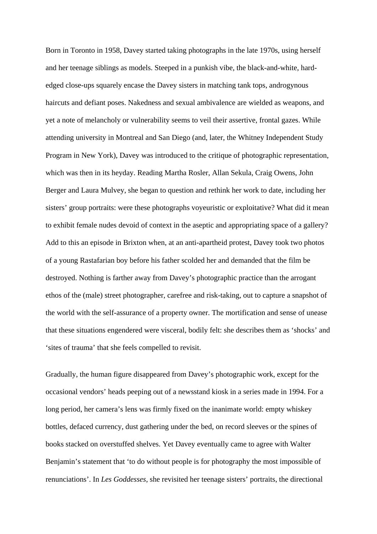Born in Toronto in 1958, Davey started taking photographs in the late 1970s, using herself and her teenage siblings as models. Steeped in a punkish vibe, the black-and-white, hardedged close-ups squarely encase the Davey sisters in matching tank tops, androgynous haircuts and defiant poses. Nakedness and sexual ambivalence are wielded as weapons, and yet a note of melancholy or vulnerability seems to veil their assertive, frontal gazes. While attending university in Montreal and San Diego (and, later, the Whitney Independent Study Program in New York), Davey was introduced to the critique of photographic representation, which was then in its heyday. Reading Martha Rosler, Allan Sekula, Craig Owens, John Berger and Laura Mulvey, she began to question and rethink her work to date, including her sisters' group portraits: were these photographs voyeuristic or exploitative? What did it mean to exhibit female nudes devoid of context in the aseptic and appropriating space of a gallery? Add to this an episode in Brixton when, at an anti-apartheid protest, Davey took two photos of a young Rastafarian boy before his father scolded her and demanded that the film be destroyed. Nothing is farther away from Davey's photographic practice than the arrogant ethos of the (male) street photographer, carefree and risk-taking, out to capture a snapshot of the world with the self-assurance of a property owner. The mortification and sense of unease that these situations engendered were visceral, bodily felt: she describes them as 'shocks' and 'sites of trauma' that she feels compelled to revisit.

Gradually, the human figure disappeared from Davey's photographic work, except for the occasional vendors' heads peeping out of a newsstand kiosk in a series made in 1994. For a long period, her camera's lens was firmly fixed on the inanimate world: empty whiskey bottles, defaced currency, dust gathering under the bed, on record sleeves or the spines of books stacked on overstuffed shelves. Yet Davey eventually came to agree with Walter Benjamin's statement that 'to do without people is for photography the most impossible of renunciations'. In *Les Goddesses*, she revisited her teenage sisters' portraits, the directional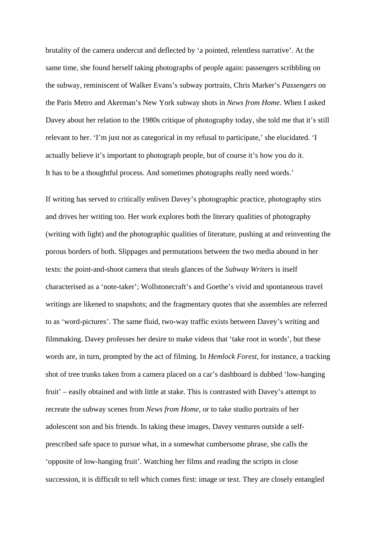brutality of the camera undercut and deflected by 'a pointed, relentless narrative'. At the same time, she found herself taking photographs of people again: passengers scribbling on the subway, reminiscent of Walker Evans's subway portraits, Chris Marker's *Passengers* on the Paris Metro and Akerman's New York subway shots in *News from Home*. When I asked Davey about her relation to the 1980s critique of photography today, she told me that it's still relevant to her. 'I'm just not as categorical in my refusal to participate,' she elucidated. 'I actually believe it's important to photograph people, but of course it's how you do it. It has to be a thoughtful process. And sometimes photographs really need words.'

If writing has served to critically enliven Davey's photographic practice, photography stirs and drives her writing too. Her work explores both the literary qualities of photography (writing with light) and the photographic qualities of literature, pushing at and reinventing the porous borders of both. Slippages and permutations between the two media abound in her texts: the point-and-shoot camera that steals glances of the *Subway Writers* is itself characterised as a 'note-taker'; Wollstonecraft's and Goethe's vivid and spontaneous travel writings are likened to snapshots; and the fragmentary quotes that she assembles are referred to as 'word-pictures'. The same fluid, two-way traffic exists between Davey's writing and filmmaking. Davey professes her desire to make videos that 'take root in words', but these words are, in turn, prompted by the act of filming. In *Hemlock Forest,* for instance, a tracking shot of tree trunks taken from a camera placed on a car's dashboard is dubbed 'low-hanging fruit' – easily obtained and with little at stake. This is contrasted with Davey's attempt to recreate the subway scenes from *News from Home*, or to take studio portraits of her adolescent son and his friends. In taking these images, Davey ventures outside a selfprescribed safe space to pursue what, in a somewhat cumbersome phrase, she calls the 'opposite of low-hanging fruit'. Watching her films and reading the scripts in close succession, it is difficult to tell which comes first: image or text. They are closely entangled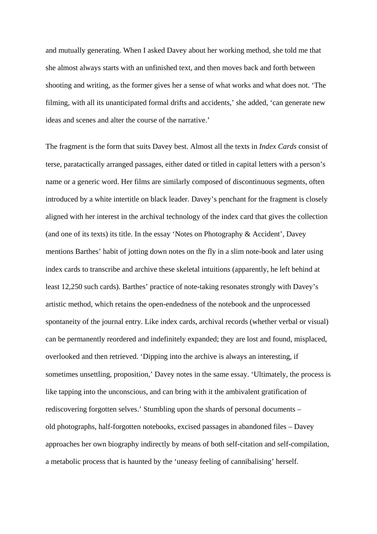and mutually generating. When I asked Davey about her working method, she told me that she almost always starts with an unfinished text, and then moves back and forth between shooting and writing, as the former gives her a sense of what works and what does not. 'The filming, with all its unanticipated formal drifts and accidents,' she added, 'can generate new ideas and scenes and alter the course of the narrative.'

The fragment is the form that suits Davey best. Almost all the texts in *Index Cards* consist of terse, paratactically arranged passages, either dated or titled in capital letters with a person's name or a generic word. Her films are similarly composed of discontinuous segments, often introduced by a white intertitle on black leader. Davey's penchant for the fragment is closely aligned with her interest in the archival technology of the index card that gives the collection (and one of its texts) its title. In the essay 'Notes on Photography & Accident', Davey mentions Barthes' habit of jotting down notes on the fly in a slim note-book and later using index cards to transcribe and archive these skeletal intuitions (apparently, he left behind at least 12,250 such cards). Barthes' practice of note-taking resonates strongly with Davey's artistic method, which retains the open-endedness of the notebook and the unprocessed spontaneity of the journal entry. Like index cards, archival records (whether verbal or visual) can be permanently reordered and indefinitely expanded; they are lost and found, misplaced, overlooked and then retrieved. 'Dipping into the archive is always an interesting, if sometimes unsettling, proposition,' Davey notes in the same essay. 'Ultimately, the process is like tapping into the unconscious, and can bring with it the ambivalent gratification of rediscovering forgotten selves.' Stumbling upon the shards of personal documents – old photographs, half-forgotten notebooks, excised passages in abandoned files – Davey approaches her own biography indirectly by means of both self-citation and self-compilation, a metabolic process that is haunted by the 'uneasy feeling of cannibalising' herself.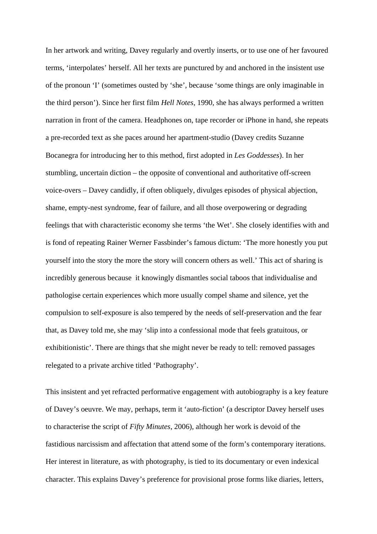In her artwork and writing, Davey regularly and overtly inserts, or to use one of her favoured terms, 'interpolates' herself. All her texts are punctured by and anchored in the insistent use of the pronoun 'I' (sometimes ousted by 'she', because 'some things are only imaginable in the third person'). Since her first film *Hell Notes*, 1990, she has always performed a written narration in front of the camera. Headphones on, tape recorder or iPhone in hand, she repeats a pre-recorded text as she paces around her apartment-studio (Davey credits Suzanne Bocanegra for introducing her to this method, first adopted in *Les Goddesses*). In her stumbling, uncertain diction – the opposite of conventional and authoritative off-screen voice-overs – Davey candidly, if often obliquely, divulges episodes of physical abjection, shame, empty-nest syndrome, fear of failure, and all those overpowering or degrading feelings that with characteristic economy she terms 'the Wet'. She closely identifies with and is fond of repeating Rainer Werner Fassbinder's famous dictum: 'The more honestly you put yourself into the story the more the story will concern others as well.' This act of sharing is incredibly generous because it knowingly dismantles social taboos that individualise and pathologise certain experiences which more usually compel shame and silence, yet the compulsion to self-exposure is also tempered by the needs of self-preservation and the fear that, as Davey told me, she may 'slip into a confessional mode that feels gratuitous, or exhibitionistic'. There are things that she might never be ready to tell: removed passages relegated to a private archive titled 'Pathography'.

This insistent and yet refracted performative engagement with autobiography is a key feature of Davey's oeuvre. We may, perhaps, term it 'auto-fiction' (a descriptor Davey herself uses to characterise the script of *Fifty Minutes*, 2006), although her work is devoid of the fastidious narcissism and affectation that attend some of the form's contemporary iterations. Her interest in literature, as with photography, is tied to its documentary or even indexical character. This explains Davey's preference for provisional prose forms like diaries, letters,